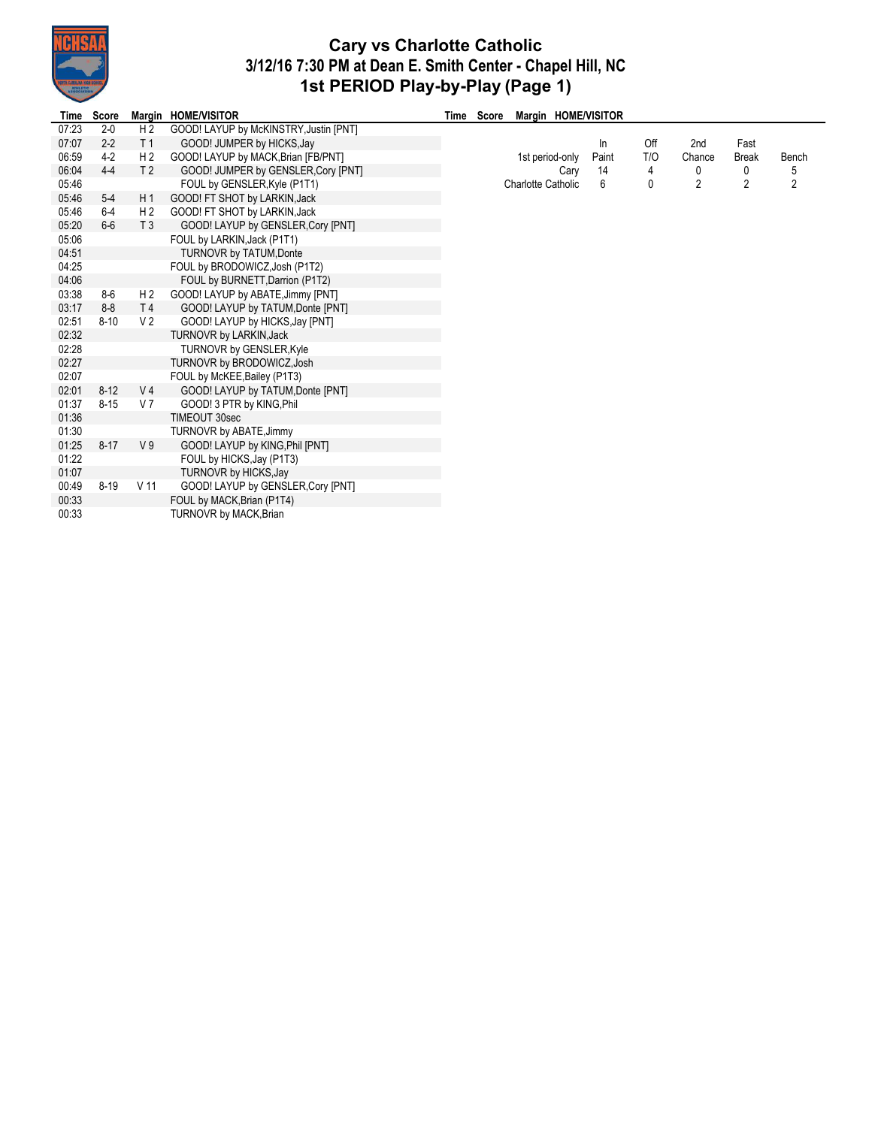

## **Cary vs Charlotte Catholic 3/12/16 7:30 PM at Dean E. Smith Center - Chapel Hill, NC 1st PERIOD Play-by-Play (Page 1)**

÷,

| Time  | Score    |                | Margin HOME/VISITOR                    | Time Score | Margin HOME/VISITOR       |       |     |                |                |                |
|-------|----------|----------------|----------------------------------------|------------|---------------------------|-------|-----|----------------|----------------|----------------|
| 07:23 | $2 - 0$  | H <sub>2</sub> | GOOD! LAYUP by McKINSTRY, Justin [PNT] |            |                           |       |     |                |                |                |
| 07:07 | $2 - 2$  | T <sub>1</sub> | GOOD! JUMPER by HICKS, Jay             |            |                           | In    | Off | 2nd            | Fast           |                |
| 06:59 | $4-2$    | H <sub>2</sub> | GOOD! LAYUP by MACK, Brian [FB/PNT]    |            | 1st period-only           | Paint | T/O | Chance         | <b>Break</b>   | Bench          |
| 06:04 | $4 - 4$  | T <sub>2</sub> | GOOD! JUMPER by GENSLER, Cory [PNT]    |            | Cary                      | 14    | 4   | 0              | 0              | 5              |
| 05:46 |          |                | FOUL by GENSLER, Kyle (P1T1)           |            | <b>Charlotte Catholic</b> | 6     | 0   | $\overline{2}$ | $\overline{2}$ | $\overline{c}$ |
| 05:46 | $5-4$    | H <sub>1</sub> | GOOD! FT SHOT by LARKIN, Jack          |            |                           |       |     |                |                |                |
| 05:46 | $6 - 4$  | H <sub>2</sub> | GOOD! FT SHOT by LARKIN, Jack          |            |                           |       |     |                |                |                |
| 05:20 | $6-6$    | T <sub>3</sub> | GOOD! LAYUP by GENSLER, Cory [PNT]     |            |                           |       |     |                |                |                |
| 05:06 |          |                | FOUL by LARKIN, Jack (P1T1)            |            |                           |       |     |                |                |                |
| 04:51 |          |                | <b>TURNOVR by TATUM, Donte</b>         |            |                           |       |     |                |                |                |
| 04:25 |          |                | FOUL by BRODOWICZ, Josh (P1T2)         |            |                           |       |     |                |                |                |
| 04:06 |          |                | FOUL by BURNETT, Darrion (P1T2)        |            |                           |       |     |                |                |                |
| 03:38 | $8-6$    | H <sub>2</sub> | GOOD! LAYUP by ABATE, Jimmy [PNT]      |            |                           |       |     |                |                |                |
| 03:17 | $8-8$    | T <sub>4</sub> | GOOD! LAYUP by TATUM, Donte [PNT]      |            |                           |       |     |                |                |                |
| 02:51 | $8 - 10$ | V <sub>2</sub> | GOOD! LAYUP by HICKS, Jay [PNT]        |            |                           |       |     |                |                |                |
| 02:32 |          |                | TURNOVR by LARKIN, Jack                |            |                           |       |     |                |                |                |
| 02:28 |          |                | <b>TURNOVR by GENSLER, Kyle</b>        |            |                           |       |     |                |                |                |
| 02:27 |          |                | TURNOVR by BRODOWICZ, Josh             |            |                           |       |     |                |                |                |
| 02:07 |          |                | FOUL by McKEE, Bailey (P1T3)           |            |                           |       |     |                |                |                |
| 02:01 | $8 - 12$ | V <sub>4</sub> | GOOD! LAYUP by TATUM, Donte [PNT]      |            |                           |       |     |                |                |                |
| 01:37 | $8 - 15$ | V 7            | GOOD! 3 PTR by KING, Phil              |            |                           |       |     |                |                |                |
| 01:36 |          |                | TIMEOUT 30sec                          |            |                           |       |     |                |                |                |
| 01:30 |          |                | TURNOVR by ABATE, Jimmy                |            |                           |       |     |                |                |                |
| 01:25 | $8 - 17$ | V <sub>9</sub> | GOOD! LAYUP by KING, Phil [PNT]        |            |                           |       |     |                |                |                |
| 01:22 |          |                | FOUL by HICKS, Jay (P1T3)              |            |                           |       |     |                |                |                |
| 01:07 |          |                | TURNOVR by HICKS, Jay                  |            |                           |       |     |                |                |                |
| 00:49 | $8 - 19$ | V 11           | GOOD! LAYUP by GENSLER, Cory [PNT]     |            |                           |       |     |                |                |                |
| 00:33 |          |                | FOUL by MACK, Brian (P1T4)             |            |                           |       |     |                |                |                |
| 00:33 |          |                | <b>TURNOVR by MACK, Brian</b>          |            |                           |       |     |                |                |                |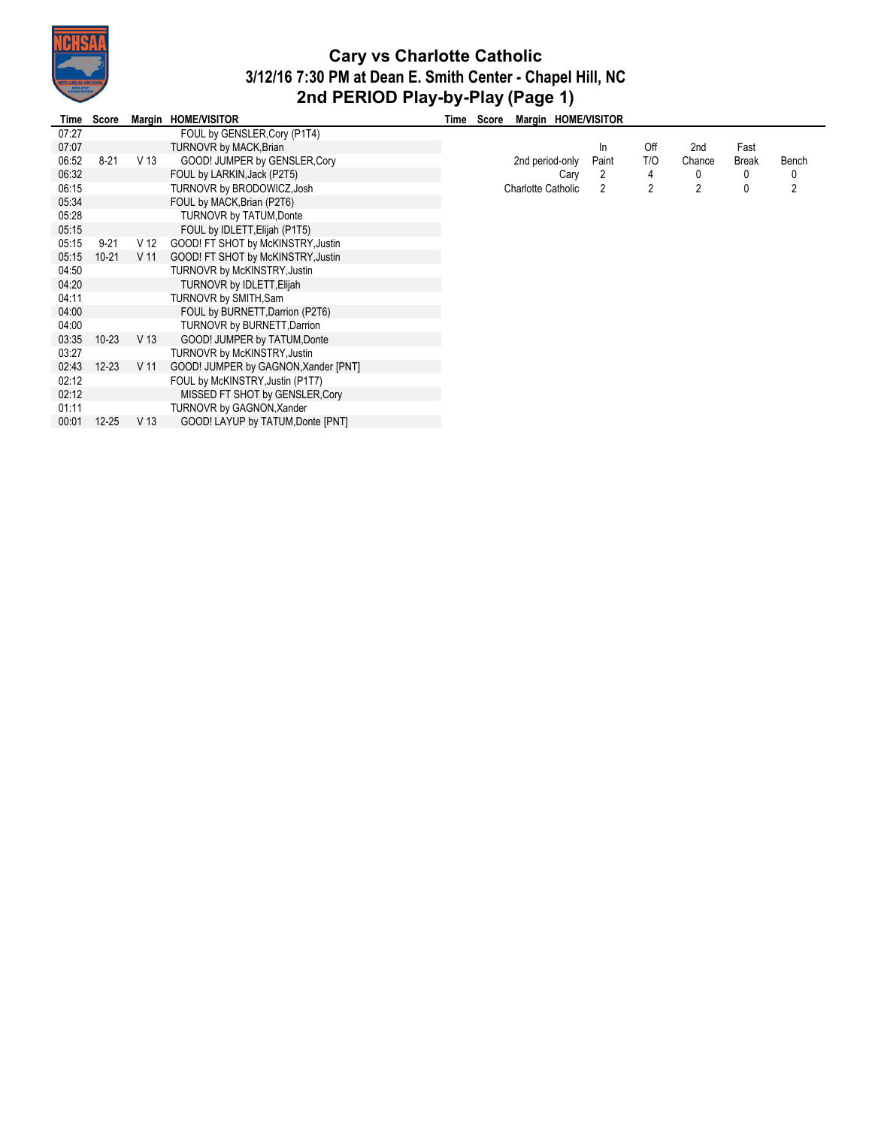

## **Cary vs Charlotte Catholic 3/12/16 7:30 PM at Dean E. Smith Center - Chapel Hill, NC 2nd PERIOD Play-by-Play (Page 1)**

| Time  | Score     | Margin          | <b>HOME/VISITOR</b>                  | Time Score | Margin HOME/VISITOR       |       |     |        |       |       |
|-------|-----------|-----------------|--------------------------------------|------------|---------------------------|-------|-----|--------|-------|-------|
| 07:27 |           |                 | FOUL by GENSLER, Cory (P1T4)         |            |                           |       |     |        |       |       |
| 07:07 |           |                 | TURNOVR by MACK, Brian               |            |                           | In    | Off | 2nd    | Fast  |       |
| 06:52 | $8-21$    | V 13            | GOOD! JUMPER by GENSLER, Cory        |            | 2nd period-only           | Paint | T/O | Chance | Break | Bench |
| 06:32 |           |                 | FOUL by LARKIN, Jack (P2T5)          |            | Cary                      | 2     | 4   |        | 0     | 0     |
| 06:15 |           |                 | TURNOVR by BRODOWICZ, Josh           |            | <b>Charlotte Catholic</b> | 2     | 2   | 2      | 0     | 2     |
| 05:34 |           |                 | FOUL by MACK, Brian (P2T6)           |            |                           |       |     |        |       |       |
| 05:28 |           |                 | <b>TURNOVR by TATUM, Donte</b>       |            |                           |       |     |        |       |       |
| 05:15 |           |                 | FOUL by IDLETT, Elijah (P1T5)        |            |                           |       |     |        |       |       |
| 05:15 | $9-21$    | V 12            | GOOD! FT SHOT by McKINSTRY, Justin   |            |                           |       |     |        |       |       |
| 05:15 | $10 - 21$ | V 11            | GOOD! FT SHOT by McKINSTRY, Justin   |            |                           |       |     |        |       |       |
| 04:50 |           |                 | TURNOVR by McKINSTRY, Justin         |            |                           |       |     |        |       |       |
| 04:20 |           |                 | TURNOVR by IDLETT, Elijah            |            |                           |       |     |        |       |       |
| 04:11 |           |                 | TURNOVR by SMITH, Sam                |            |                           |       |     |        |       |       |
| 04:00 |           |                 | FOUL by BURNETT, Darrion (P2T6)      |            |                           |       |     |        |       |       |
| 04:00 |           |                 | <b>TURNOVR by BURNETT, Darrion</b>   |            |                           |       |     |        |       |       |
| 03:35 | $10 - 23$ | V 13            | GOOD! JUMPER by TATUM, Donte         |            |                           |       |     |        |       |       |
| 03:27 |           |                 | TURNOVR by McKINSTRY, Justin         |            |                           |       |     |        |       |       |
| 02:43 | $12 - 23$ | V <sub>11</sub> | GOOD! JUMPER by GAGNON, Xander [PNT] |            |                           |       |     |        |       |       |
| 02:12 |           |                 | FOUL by McKINSTRY, Justin (P1T7)     |            |                           |       |     |        |       |       |
| 02:12 |           |                 | MISSED FT SHOT by GENSLER, Cory      |            |                           |       |     |        |       |       |
| 01:11 |           |                 | TURNOVR by GAGNON, Xander            |            |                           |       |     |        |       |       |
| 00:01 | $12 - 25$ | V <sub>13</sub> | GOOD! LAYUP by TATUM, Donte [PNT]    |            |                           |       |     |        |       |       |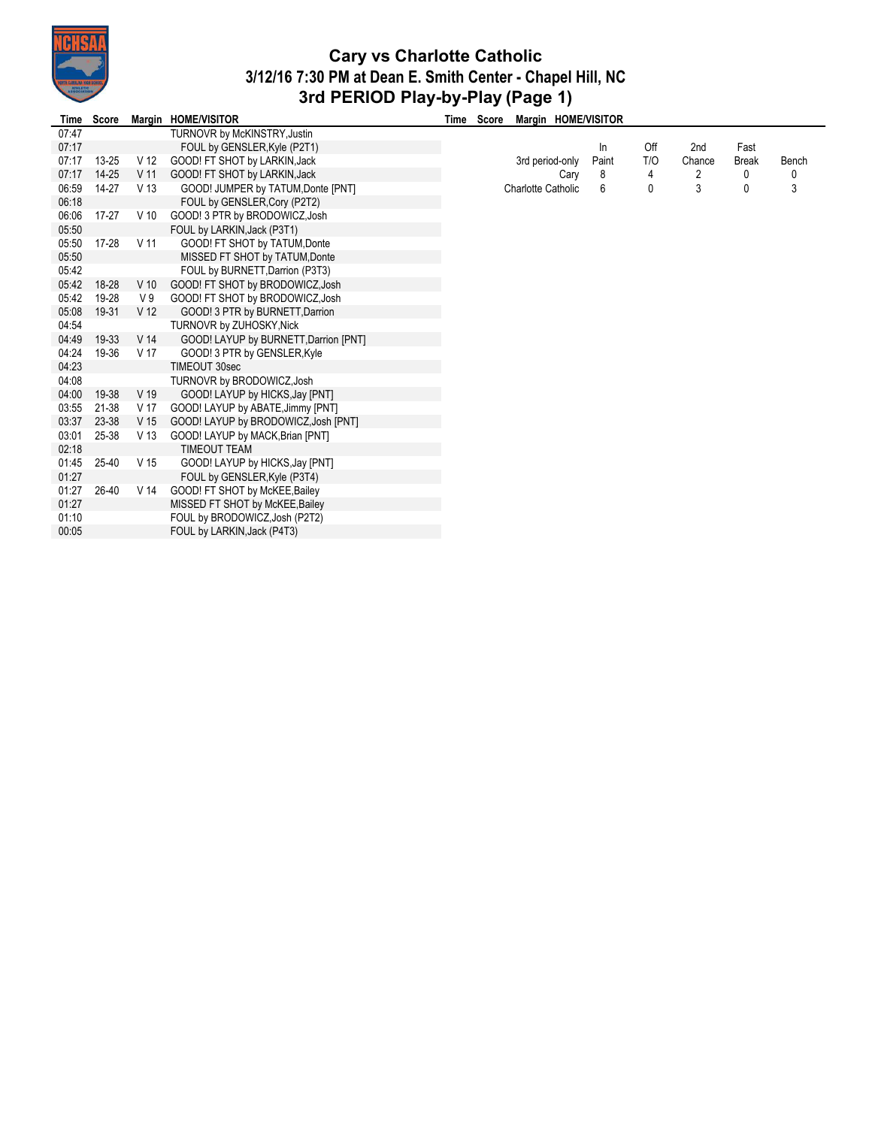

## **Cary vs Charlotte Catholic 3/12/16 7:30 PM at Dean E. Smith Center - Chapel Hill, NC 3rd PERIOD Play-by-Play (Page 1)**

| Time  | Score     |                 | Margin HOME/VISITOR                   | Time | Score |                           |      | Margin HOME/VISITOR |     |        |              |       |
|-------|-----------|-----------------|---------------------------------------|------|-------|---------------------------|------|---------------------|-----|--------|--------------|-------|
| 07:47 |           |                 | TURNOVR by McKINSTRY, Justin          |      |       |                           |      |                     |     |        |              |       |
| 07:17 |           |                 | FOUL by GENSLER, Kyle (P2T1)          |      |       |                           |      | ln                  | Off | 2nd    | Fast         |       |
| 07:17 | $13 - 25$ | V 12            | GOOD! FT SHOT by LARKIN, Jack         |      |       | 3rd period-only           |      | Paint               | T/O | Chance | <b>Break</b> | Bench |
| 07:17 | $14 - 25$ | V <sub>11</sub> | GOOD! FT SHOT by LARKIN, Jack         |      |       |                           | Cary | 8                   | 4   | 2      | 0            | 0     |
| 06:59 | 14-27     | V 13            | GOOD! JUMPER by TATUM, Donte [PNT]    |      |       | <b>Charlotte Catholic</b> |      | 6                   | 0   | 3      | 0            | 3     |
| 06:18 |           |                 | FOUL by GENSLER, Cory (P2T2)          |      |       |                           |      |                     |     |        |              |       |
| 06:06 | 17-27     | V <sub>10</sub> | GOOD! 3 PTR by BRODOWICZ, Josh        |      |       |                           |      |                     |     |        |              |       |
| 05:50 |           |                 | FOUL by LARKIN, Jack (P3T1)           |      |       |                           |      |                     |     |        |              |       |
| 05:50 | 17-28     | V <sub>11</sub> | GOOD! FT SHOT by TATUM, Donte         |      |       |                           |      |                     |     |        |              |       |
| 05:50 |           |                 | MISSED FT SHOT by TATUM, Donte        |      |       |                           |      |                     |     |        |              |       |
| 05:42 |           |                 | FOUL by BURNETT, Darrion (P3T3)       |      |       |                           |      |                     |     |        |              |       |
| 05:42 | 18-28     | $V$ 10          | GOOD! FT SHOT by BRODOWICZ, Josh      |      |       |                           |      |                     |     |        |              |       |
| 05:42 | 19-28     | V <sub>9</sub>  | GOOD! FT SHOT by BRODOWICZ, Josh      |      |       |                           |      |                     |     |        |              |       |
| 05:08 | 19-31     | V <sub>12</sub> | GOOD! 3 PTR by BURNETT, Darrion       |      |       |                           |      |                     |     |        |              |       |
| 04:54 |           |                 | TURNOVR by ZUHOSKY, Nick              |      |       |                           |      |                     |     |        |              |       |
| 04:49 | 19-33     | V <sub>14</sub> | GOOD! LAYUP by BURNETT, Darrion [PNT] |      |       |                           |      |                     |     |        |              |       |
| 04:24 | 19-36     | V 17            | GOOD! 3 PTR by GENSLER, Kyle          |      |       |                           |      |                     |     |        |              |       |
| 04:23 |           |                 | TIMEOUT 30sec                         |      |       |                           |      |                     |     |        |              |       |
| 04:08 |           |                 | TURNOVR by BRODOWICZ, Josh            |      |       |                           |      |                     |     |        |              |       |
| 04:00 | 19-38     | V 19            | GOOD! LAYUP by HICKS, Jay [PNT]       |      |       |                           |      |                     |     |        |              |       |
| 03:55 | 21-38     | V 17            | GOOD! LAYUP by ABATE, Jimmy [PNT]     |      |       |                           |      |                     |     |        |              |       |
| 03:37 | 23-38     | V 15            | GOOD! LAYUP by BRODOWICZ, Josh [PNT]  |      |       |                           |      |                     |     |        |              |       |
| 03:01 | 25-38     | V <sub>13</sub> | GOOD! LAYUP by MACK, Brian [PNT]      |      |       |                           |      |                     |     |        |              |       |
| 02:18 |           |                 | <b>TIMEOUT TEAM</b>                   |      |       |                           |      |                     |     |        |              |       |
| 01:45 | 25-40     | V 15            | GOOD! LAYUP by HICKS, Jay [PNT]       |      |       |                           |      |                     |     |        |              |       |
| 01:27 |           |                 | FOUL by GENSLER, Kyle (P3T4)          |      |       |                           |      |                     |     |        |              |       |
| 01:27 | 26-40     | V <sub>14</sub> | GOOD! FT SHOT by McKEE, Bailey        |      |       |                           |      |                     |     |        |              |       |
| 01:27 |           |                 | MISSED FT SHOT by McKEE, Bailey       |      |       |                           |      |                     |     |        |              |       |
| 01:10 |           |                 | FOUL by BRODOWICZ, Josh (P2T2)        |      |       |                           |      |                     |     |        |              |       |
| 00:05 |           |                 | FOUL by LARKIN, Jack (P4T3)           |      |       |                           |      |                     |     |        |              |       |